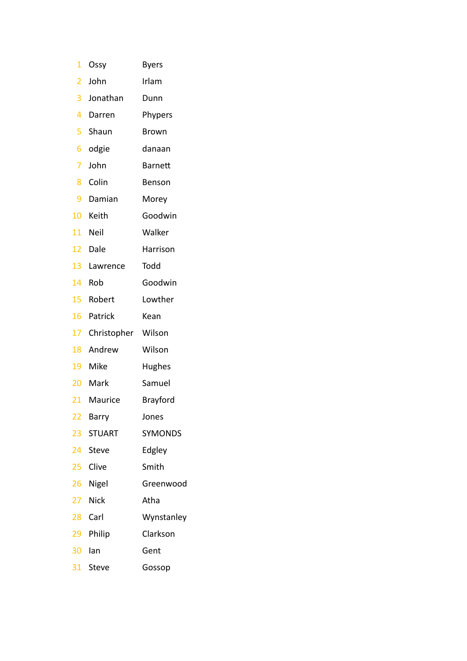| 1               | Ossy          | <b>Byers</b>    |
|-----------------|---------------|-----------------|
| 2               | John          | Irlam           |
| 3 <sup>1</sup>  | Jonathan      | Dunn            |
| 4               | Darren        | Phypers         |
| 5               | Shaun         | Brown           |
| 6               | odgie         | danaan          |
| 7               | John          | <b>Barnett</b>  |
| 8               | Colin         | Benson          |
| 9               | Damian        | Morey           |
|                 | 10 Keith      | Goodwin         |
|                 | 11 Neil       | Walker          |
|                 | 12 Dale       | Harrison        |
|                 | 13 Lawrence   | Todd            |
|                 | 14 Rob        | Goodwin         |
|                 | 15 Robert     | Lowther         |
|                 | 16 Patrick    | Kean            |
| 17              | Christopher   | Wilson          |
|                 | 18 Andrew     | Wilson          |
|                 | 19 Mike       | Hughes          |
|                 | 20 Mark       | Samuel          |
|                 | 21 Maurice    | <b>Brayford</b> |
| $\overline{22}$ | Barry         | Jones           |
| $23 -$          | <b>STUART</b> | <b>SYMONDS</b>  |
| 24              | <b>Steve</b>  | Edgley          |
| $25 -$          | Clive         | Smith           |
|                 | 26 Nigel      | Greenwood       |
| 27 <sub>2</sub> | <b>Nick</b>   | Atha            |
| 28              | Carl          | Wynstanley      |
| 29              | Philip        | Clarkson        |
| 30              | lan           | Gent            |
| 31              | Steve         | Gossop          |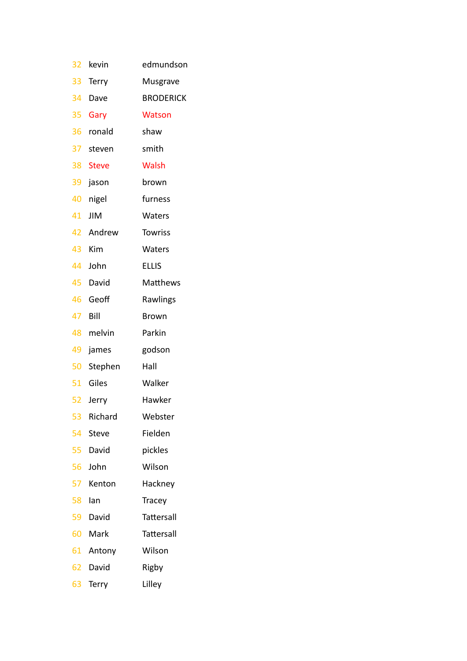| 32 | kevin        | edmundson        |
|----|--------------|------------------|
| 33 | Terry        | Musgrave         |
| 34 | Dave         | <b>BRODERICK</b> |
| 35 | Gary         | <b>Watson</b>    |
| 36 | ronald       | shaw             |
|    | 37 steven    | smith            |
| 38 | <b>Steve</b> | <b>Walsh</b>     |
| 39 | jason        | brown            |
| 40 | nigel        | furness          |
| 41 | JIM          | Waters           |
|    | 42 Andrew    | <b>Towriss</b>   |
| 43 | Kim          | <b>Waters</b>    |
| 44 | John         | <b>ELLIS</b>     |
| 45 | David        | Matthews         |
| 46 | Geoff        | Rawlings         |
| 47 | Bill         | Brown            |
| 48 | melvin       | Parkin           |
| 49 | james        | godson           |
| 50 | Stephen      | Hall             |
|    | 51 Giles     | Walker           |
| 52 | Jerry        | Hawker           |
| 53 | Richard      | Webster          |
| 54 | Steve        | Fielden          |
| 55 | David        | pickles          |
| 56 | John         | Wilson           |
| 57 | Kenton       | Hackney          |
| 58 | Ian          | Tracey           |
| 59 | David        | Tattersall       |
| 60 | Mark         | Tattersall       |
| 61 | Antony       | Wilson           |
| 62 | David        | Rigby            |
| 63 | Terry        | Lilley           |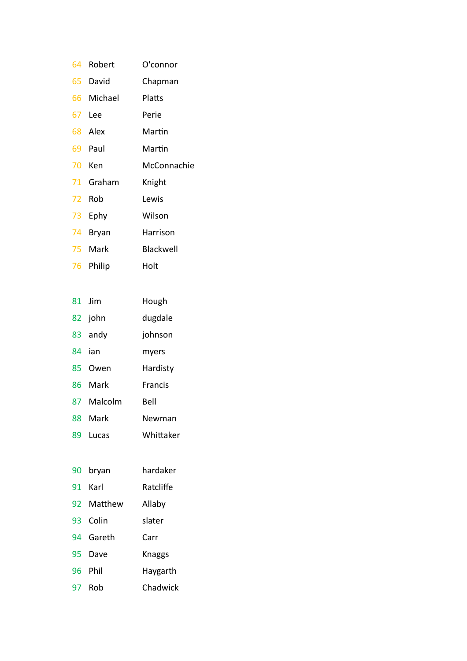| 64  | Robert       | O'connor    |
|-----|--------------|-------------|
|     | 65 David     | Chapman     |
|     | 66 Michael   | Platts      |
|     | 67 Lee       | Perie       |
|     | 68 Alex      | Martin      |
|     | 69 Paul      | Martin      |
|     | 70 Ken       | McConnachie |
|     | 71 Graham    | Knight      |
| 72. | Rob          | Lewis       |
| 73. | Ephy         | Wilson      |
| 74  | <b>Bryan</b> | Harrison    |
|     | 75 Mark      | Blackwell   |
| 76  | Philip       | Holt        |

|     | 81 Jim  | Hough          |
|-----|---------|----------------|
|     | 82 john | dugdale        |
|     | 83 andy | johnson        |
|     | 84 ian  | myers          |
| 85. | Owen    | Hardisty       |
| 86  | Mark    | <b>Francis</b> |
| 87  | Malcolm | Bell           |
|     | 88 Mark | Newman         |
| 89  | Lucas   | Whittaker      |

| 90 - | bryan      | hardaker  |
|------|------------|-----------|
| 91.  | Karl       | Ratcliffe |
|      | 92 Matthew | Allaby    |
| 93.  | Colin      | slater    |
|      | 94 Gareth  | Carr      |
| 95   | Dave       | Knaggs    |
|      | 96 Phil    | Haygarth  |
| 97   | Rob        | Chadwick  |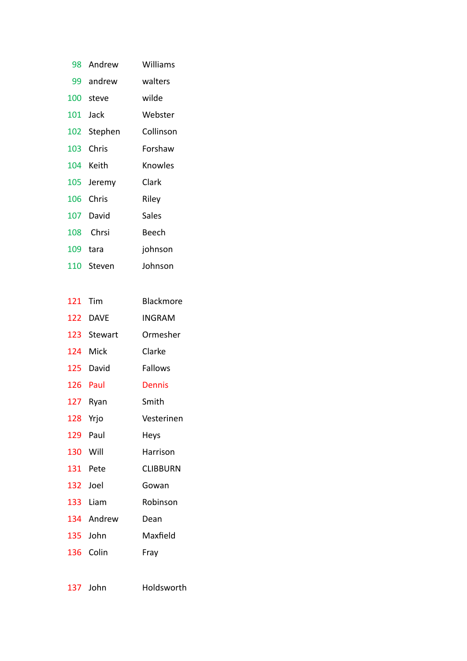| 98. | Andrew    | Williams  |
|-----|-----------|-----------|
|     | 99 andrew | walters   |
|     | 100 steve | wilde     |
|     | 101 Jack  | Webster   |
| 102 | Stephen   | Collinson |
| 103 | Chris     | Forshaw   |
| 104 | Keith     | Knowles   |
| 105 | Jeremy    | Clark     |
| 106 | Chris     | Riley     |
| 107 | David     | Sales     |
| 108 | Chrsi     | Beech     |
| 109 | tara      | johnson   |
| 110 | Steven    | Johnson   |
|     |           |           |

| 121 | Tim        | Blackmore       |
|-----|------------|-----------------|
| 122 | DAVE       | INGRAM          |
| 123 | Stewart    | Ormesher        |
| 124 | Mick       | Clarke          |
| 125 | David      | <b>Fallows</b>  |
| 126 | Paul       | Dennis          |
| 127 | Ryan       | Smith           |
| 128 | Yrjo       | Vesterinen      |
| 129 | Paul       | Heys            |
| 130 | Will       | Harrison        |
| 131 | Pete       | <b>CLIBBURN</b> |
| 132 | Joel       | Gowan           |
| 133 | Liam       | Robinson        |
|     | 134 Andrew | Dean            |
| 135 | John       | Maxfield        |
| 136 | Colin      | Fray            |
|     |            |                 |

John Holdsworth